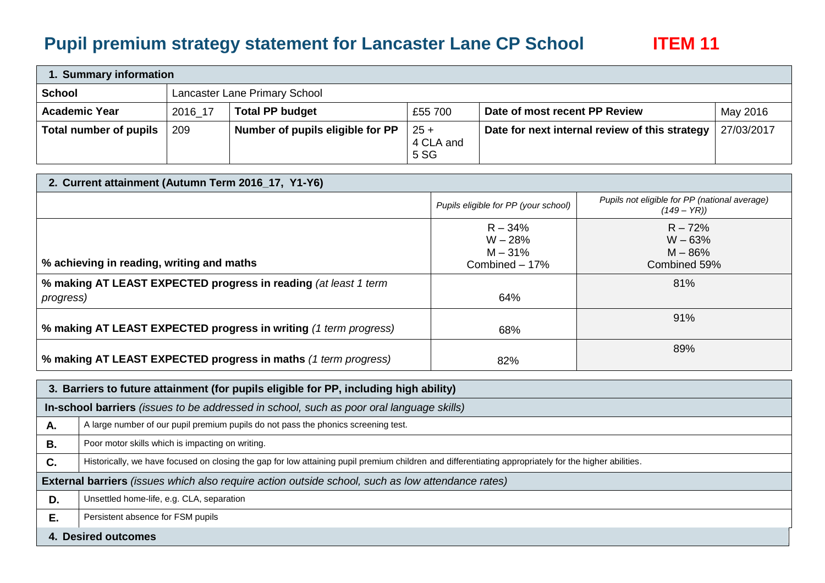## **Pupil premium strategy statement for Lancaster Lane CP School ITEM 11**

| 1. Summary information |         |                                  |                             |                                                |            |  |
|------------------------|---------|----------------------------------|-----------------------------|------------------------------------------------|------------|--|
| School                 |         | Lancaster Lane Primary School    |                             |                                                |            |  |
| <b>Academic Year</b>   | 2016 17 | <b>Total PP budget</b>           | £55 700                     | Date of most recent PP Review                  | May 2016   |  |
| Total number of pupils | 209     | Number of pupils eligible for PP | $25 +$<br>4 CLA and<br>5 SG | Date for next internal review of this strategy | 27/03/2017 |  |

| 2. Current attainment (Autumn Term 2016_17, Y1-Y6)                                   |                                                       |                                                               |  |  |  |
|--------------------------------------------------------------------------------------|-------------------------------------------------------|---------------------------------------------------------------|--|--|--|
|                                                                                      | Pupils eligible for PP (your school)                  | Pupils not eligible for PP (national average)<br>$(149 - YR)$ |  |  |  |
| % achieving in reading, writing and maths                                            | $R - 34%$<br>$W - 28%$<br>$M - 31%$<br>Combined - 17% | $R - 72%$<br>$W - 63%$<br>$M - 86%$<br>Combined 59%           |  |  |  |
| % making AT LEAST EXPECTED progress in reading (at least 1 term<br><i>progress</i> ) | 64%                                                   | 81%                                                           |  |  |  |
| % making AT LEAST EXPECTED progress in writing (1 term progress)                     | 68%                                                   | 91%                                                           |  |  |  |
| % making AT LEAST EXPECTED progress in maths (1 term progress)                       | 82%                                                   | 89%                                                           |  |  |  |

|    | 3. Barriers to future attainment (for pupils eligible for PP, including high ability)                                                                 |  |  |  |  |
|----|-------------------------------------------------------------------------------------------------------------------------------------------------------|--|--|--|--|
|    | In-school barriers (issues to be addressed in school, such as poor oral language skills)                                                              |  |  |  |  |
| Α. | A large number of our pupil premium pupils do not pass the phonics screening test.                                                                    |  |  |  |  |
| В. | Poor motor skills which is impacting on writing.                                                                                                      |  |  |  |  |
| C. | Historically, we have focused on closing the gap for low attaining pupil premium children and differentiating appropriately for the higher abilities. |  |  |  |  |
|    | External barriers (issues which also require action outside school, such as low attendance rates)                                                     |  |  |  |  |
| D. | Unsettled home-life, e.g. CLA, separation                                                                                                             |  |  |  |  |
| Е. | Persistent absence for FSM pupils                                                                                                                     |  |  |  |  |
|    | 4. Desired outcomes                                                                                                                                   |  |  |  |  |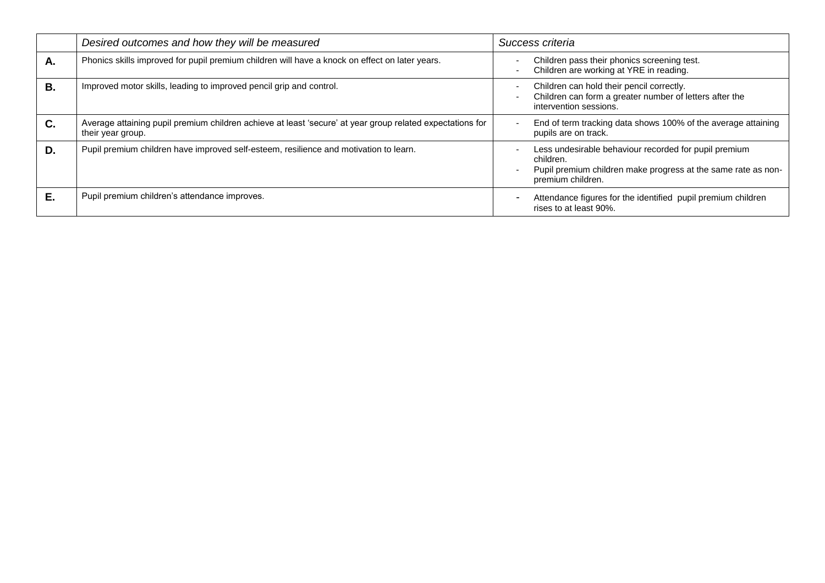|           | Desired outcomes and how they will be measured                                                                                 | Success criteria                                                                                                                                         |
|-----------|--------------------------------------------------------------------------------------------------------------------------------|----------------------------------------------------------------------------------------------------------------------------------------------------------|
| Α.        | Phonics skills improved for pupil premium children will have a knock on effect on later years.                                 | Children pass their phonics screening test.<br>Children are working at YRE in reading.                                                                   |
| <b>B.</b> | Improved motor skills, leading to improved pencil grip and control.                                                            | Children can hold their pencil correctly.<br>Children can form a greater number of letters after the<br>intervention sessions.                           |
| C.        | Average attaining pupil premium children achieve at least 'secure' at year group related expectations for<br>their year group. | End of term tracking data shows 100% of the average attaining<br>pupils are on track.                                                                    |
| D.        | Pupil premium children have improved self-esteem, resilience and motivation to learn.                                          | Less undesirable behaviour recorded for pupil premium<br>children.<br>Pupil premium children make progress at the same rate as non-<br>premium children. |
| Е.        | Pupil premium children's attendance improves.                                                                                  | Attendance figures for the identified pupil premium children<br>rises to at least 90%.                                                                   |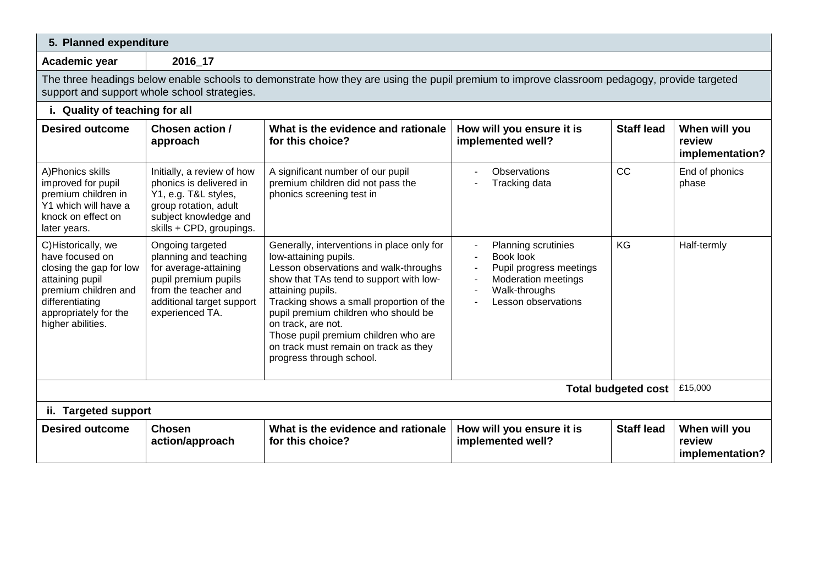| 5. Planned expenditure                                                                                                                                                       |                                                                                                                                                                                             |                                                                                                                                                                                                                                                                                                                                                                                                     |                                                                                                                                                                                                                              |                   |                                            |  |  |
|------------------------------------------------------------------------------------------------------------------------------------------------------------------------------|---------------------------------------------------------------------------------------------------------------------------------------------------------------------------------------------|-----------------------------------------------------------------------------------------------------------------------------------------------------------------------------------------------------------------------------------------------------------------------------------------------------------------------------------------------------------------------------------------------------|------------------------------------------------------------------------------------------------------------------------------------------------------------------------------------------------------------------------------|-------------------|--------------------------------------------|--|--|
| Academic year                                                                                                                                                                | 2016_17                                                                                                                                                                                     |                                                                                                                                                                                                                                                                                                                                                                                                     |                                                                                                                                                                                                                              |                   |                                            |  |  |
|                                                                                                                                                                              | The three headings below enable schools to demonstrate how they are using the pupil premium to improve classroom pedagogy, provide targeted<br>support and support whole school strategies. |                                                                                                                                                                                                                                                                                                                                                                                                     |                                                                                                                                                                                                                              |                   |                                            |  |  |
| i. Quality of teaching for all                                                                                                                                               |                                                                                                                                                                                             |                                                                                                                                                                                                                                                                                                                                                                                                     |                                                                                                                                                                                                                              |                   |                                            |  |  |
| <b>Desired outcome</b>                                                                                                                                                       | Chosen action /<br>approach                                                                                                                                                                 | What is the evidence and rationale<br>for this choice?                                                                                                                                                                                                                                                                                                                                              | How will you ensure it is<br>implemented well?                                                                                                                                                                               | <b>Staff lead</b> | When will you<br>review<br>implementation? |  |  |
| A) Phonics skills<br>improved for pupil<br>premium children in<br>Y1 which will have a<br>knock on effect on<br>later years.                                                 | Initially, a review of how<br>phonics is delivered in<br>Y1, e.g. T&L styles,<br>group rotation, adult<br>subject knowledge and<br>skills + CPD, groupings.                                 | A significant number of our pupil<br>premium children did not pass the<br>phonics screening test in                                                                                                                                                                                                                                                                                                 | <b>Observations</b><br>Tracking data                                                                                                                                                                                         | CC                | End of phonics<br>phase                    |  |  |
| C)Historically, we<br>have focused on<br>closing the gap for low<br>attaining pupil<br>premium children and<br>differentiating<br>appropriately for the<br>higher abilities. | Ongoing targeted<br>planning and teaching<br>for average-attaining<br>pupil premium pupils<br>from the teacher and<br>additional target support<br>experienced TA.                          | Generally, interventions in place only for<br>low-attaining pupils.<br>Lesson observations and walk-throughs<br>show that TAs tend to support with low-<br>attaining pupils.<br>Tracking shows a small proportion of the<br>pupil premium children who should be<br>on track, are not.<br>Those pupil premium children who are<br>on track must remain on track as they<br>progress through school. | Planning scrutinies<br>Book look<br>Pupil progress meetings<br>$\overline{\phantom{a}}$<br><b>Moderation meetings</b><br>$\overline{\phantom{a}}$<br>Walk-throughs<br>$\overline{\phantom{a}}$<br><b>Lesson observations</b> | <b>KG</b>         | Half-termly                                |  |  |
| <b>Total budgeted cost</b>                                                                                                                                                   |                                                                                                                                                                                             |                                                                                                                                                                                                                                                                                                                                                                                                     |                                                                                                                                                                                                                              |                   |                                            |  |  |
| ii. Targeted support                                                                                                                                                         |                                                                                                                                                                                             |                                                                                                                                                                                                                                                                                                                                                                                                     |                                                                                                                                                                                                                              |                   |                                            |  |  |
| <b>Desired outcome</b>                                                                                                                                                       | <b>Chosen</b><br>action/approach                                                                                                                                                            | What is the evidence and rationale<br>for this choice?                                                                                                                                                                                                                                                                                                                                              | How will you ensure it is<br>implemented well?                                                                                                                                                                               | <b>Staff lead</b> | When will you<br>review<br>implementation? |  |  |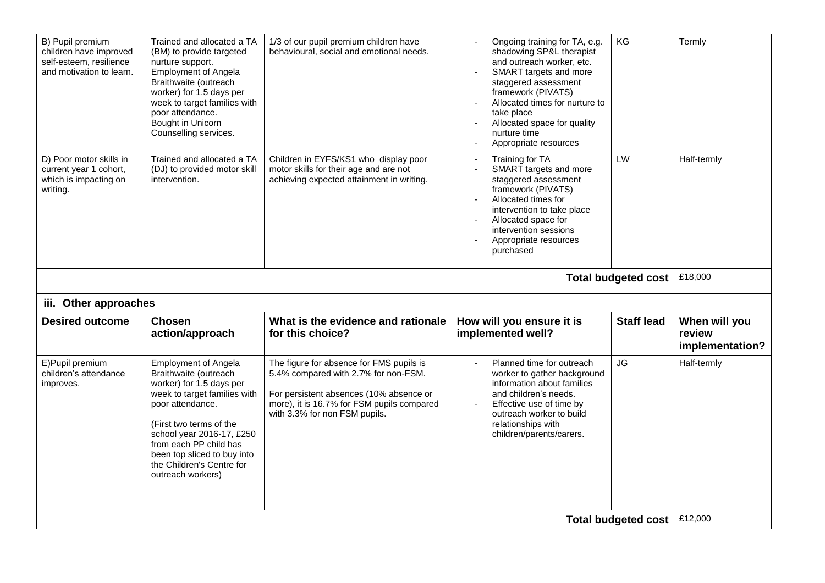| B) Pupil premium<br>children have improved<br>self-esteem, resilience<br>and motivation to learn. | Trained and allocated a TA<br>(BM) to provide targeted<br>nurture support.<br><b>Employment of Angela</b><br>Braithwaite (outreach<br>worker) for 1.5 days per<br>week to target families with<br>poor attendance.<br>Bought in Unicorn<br>Counselling services.                                        | 1/3 of our pupil premium children have<br>behavioural, social and emotional needs.                                                                                                                         | Ongoing training for TA, e.g.<br>shadowing SP&L therapist<br>and outreach worker, etc.<br>SMART targets and more<br>staggered assessment<br>framework (PIVATS)<br>Allocated times for nurture to<br>take place<br>Allocated space for quality<br>nurture time<br>Appropriate resources | KG                  | Termly                                     |
|---------------------------------------------------------------------------------------------------|---------------------------------------------------------------------------------------------------------------------------------------------------------------------------------------------------------------------------------------------------------------------------------------------------------|------------------------------------------------------------------------------------------------------------------------------------------------------------------------------------------------------------|----------------------------------------------------------------------------------------------------------------------------------------------------------------------------------------------------------------------------------------------------------------------------------------|---------------------|--------------------------------------------|
| D) Poor motor skills in<br>current year 1 cohort,<br>which is impacting on<br>writing.            | Trained and allocated a TA<br>(DJ) to provided motor skill<br>intervention.                                                                                                                                                                                                                             | Children in EYFS/KS1 who display poor<br>motor skills for their age and are not<br>achieving expected attainment in writing.                                                                               | Training for TA<br>SMART targets and more<br>staggered assessment<br>framework (PIVATS)<br>Allocated times for<br>intervention to take place<br>Allocated space for<br>intervention sessions<br>Appropriate resources<br>purchased                                                     | LW                  | Half-termly                                |
|                                                                                                   |                                                                                                                                                                                                                                                                                                         |                                                                                                                                                                                                            |                                                                                                                                                                                                                                                                                        | Total budgeted cost | £18,000                                    |
| iii. Other approaches                                                                             |                                                                                                                                                                                                                                                                                                         |                                                                                                                                                                                                            |                                                                                                                                                                                                                                                                                        |                     |                                            |
| <b>Desired outcome</b>                                                                            | <b>Chosen</b><br>action/approach                                                                                                                                                                                                                                                                        | What is the evidence and rationale<br>for this choice?                                                                                                                                                     | How will you ensure it is<br>implemented well?                                                                                                                                                                                                                                         | <b>Staff lead</b>   | When will you<br>review<br>implementation? |
| E) Pupil premium<br>children's attendance<br>improves.                                            | <b>Employment of Angela</b><br>Braithwaite (outreach<br>worker) for 1.5 days per<br>week to target families with<br>poor attendance.<br>(First two terms of the<br>school year 2016-17, £250<br>from each PP child has<br>been top sliced to buy into<br>the Children's Centre for<br>outreach workers) | The figure for absence for FMS pupils is<br>5.4% compared with 2.7% for non-FSM.<br>For persistent absences (10% absence or<br>more), it is 16.7% for FSM pupils compared<br>with 3.3% for non FSM pupils. | Planned time for outreach<br>worker to gather background<br>information about families<br>and children's needs.<br>Effective use of time by<br>outreach worker to build<br>relationships with<br>children/parents/carers.                                                              | <b>JG</b>           | Half-termly                                |
|                                                                                                   |                                                                                                                                                                                                                                                                                                         |                                                                                                                                                                                                            |                                                                                                                                                                                                                                                                                        |                     | £12,000                                    |
| <b>Total budgeted cost</b>                                                                        |                                                                                                                                                                                                                                                                                                         |                                                                                                                                                                                                            |                                                                                                                                                                                                                                                                                        |                     |                                            |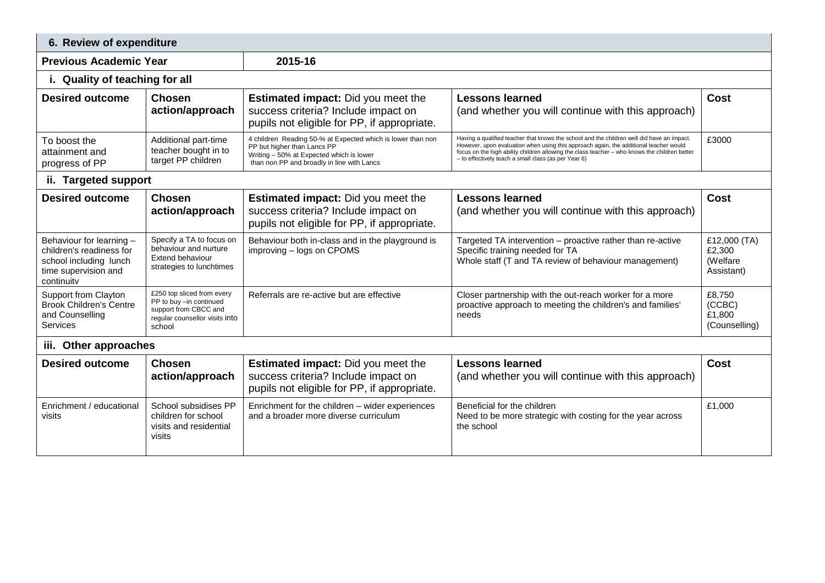| 6. Review of expenditure                                                                                             |                                                                                                                            |                                                                                                                                                                                      |                                                                                                                                                                                                                                                                                                                                              |                                                   |  |  |
|----------------------------------------------------------------------------------------------------------------------|----------------------------------------------------------------------------------------------------------------------------|--------------------------------------------------------------------------------------------------------------------------------------------------------------------------------------|----------------------------------------------------------------------------------------------------------------------------------------------------------------------------------------------------------------------------------------------------------------------------------------------------------------------------------------------|---------------------------------------------------|--|--|
| <b>Previous Academic Year</b>                                                                                        |                                                                                                                            | 2015-16                                                                                                                                                                              |                                                                                                                                                                                                                                                                                                                                              |                                                   |  |  |
| i. Quality of teaching for all                                                                                       |                                                                                                                            |                                                                                                                                                                                      |                                                                                                                                                                                                                                                                                                                                              |                                                   |  |  |
| <b>Desired outcome</b>                                                                                               | <b>Chosen</b><br>action/approach                                                                                           | <b>Estimated impact:</b> Did you meet the<br>success criteria? Include impact on<br>pupils not eligible for PP, if appropriate.                                                      | <b>Lessons learned</b><br>(and whether you will continue with this approach)                                                                                                                                                                                                                                                                 | <b>Cost</b>                                       |  |  |
| To boost the<br>attainment and<br>progress of PP                                                                     | Additional part-time<br>teacher bought in to<br>target PP children                                                         | 4 children Reading 50-% at Expected which is lower than non<br>PP but higher than Lancs PP<br>Writing - 50% at Expected which is lower<br>than non PP and broadly in line with Lancs | Having a qualified teacher that knows the school and the children well did have an impact.<br>However, upon evaluation when using this approach again, the additional teacher would<br>focus on the high ability children allowing the class teacher - who knows the children better<br>- to effectively teach a small class (as per Year 6) | £3000                                             |  |  |
| ii. Targeted support                                                                                                 |                                                                                                                            |                                                                                                                                                                                      |                                                                                                                                                                                                                                                                                                                                              |                                                   |  |  |
| <b>Desired outcome</b>                                                                                               | <b>Chosen</b><br>action/approach                                                                                           | <b>Estimated impact:</b> Did you meet the<br>success criteria? Include impact on<br>pupils not eligible for PP, if appropriate.                                                      | <b>Lessons learned</b><br>(and whether you will continue with this approach)                                                                                                                                                                                                                                                                 | Cost                                              |  |  |
| Behaviour for learning -<br>children's readiness for<br>school including lunch<br>time supervision and<br>continuity | Specify a TA to focus on<br>behaviour and nurture<br>Extend behaviour<br>strategies to lunchtimes                          | Behaviour both in-class and in the playground is<br>improving - logs on CPOMS                                                                                                        | Targeted TA intervention - proactive rather than re-active<br>Specific training needed for TA<br>Whole staff (T and TA review of behaviour management)                                                                                                                                                                                       | £12,000 (TA)<br>£2,300<br>(Welfare)<br>Assistant) |  |  |
| Support from Clayton<br><b>Brook Children's Centre</b><br>and Counselling<br>Services                                | £250 top sliced from every<br>PP to buy -in continued<br>support from CBCC and<br>regular counsellor visits into<br>school | Referrals are re-active but are effective                                                                                                                                            | Closer partnership with the out-reach worker for a more<br>proactive approach to meeting the children's and families'<br>needs                                                                                                                                                                                                               | £8.750<br>(CCBC)<br>£1.800<br>(Counselling)       |  |  |
|                                                                                                                      | iii. Other approaches                                                                                                      |                                                                                                                                                                                      |                                                                                                                                                                                                                                                                                                                                              |                                                   |  |  |
| <b>Desired outcome</b>                                                                                               | <b>Chosen</b><br>action/approach                                                                                           | <b>Estimated impact:</b> Did you meet the<br>success criteria? Include impact on<br>pupils not eligible for PP, if appropriate.                                                      | <b>Lessons learned</b><br>(and whether you will continue with this approach)                                                                                                                                                                                                                                                                 | <b>Cost</b>                                       |  |  |
| Enrichment / educational<br>visits                                                                                   | School subsidises PP<br>children for school<br>visits and residential<br>visits                                            | Enrichment for the children - wider experiences<br>and a broader more diverse curriculum                                                                                             | Beneficial for the children<br>Need to be more strategic with costing for the year across<br>the school                                                                                                                                                                                                                                      | £1,000                                            |  |  |